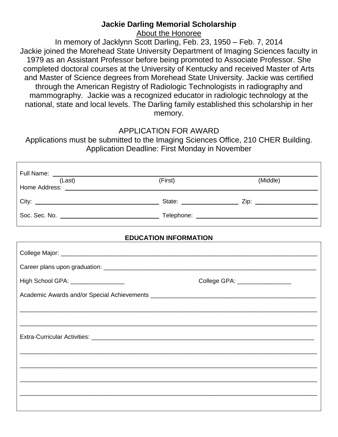## **Jackie Darling Memorial Scholarship**

About the Honoree

In memory of Jacklynn Scott Darling, Feb. 23, 1950 – Feb. 7, 2014 Jackie joined the Morehead State University Department of Imaging Sciences faculty in 1979 as an Assistant Professor before being promoted to Associate Professor. She completed doctoral courses at the University of Kentucky and received Master of Arts and Master of Science degrees from Morehead State University. Jackie was certified through the American Registry of Radiologic Technologists in radiography and mammography. Jackie was a recognized educator in radiologic technology at the national, state and local levels. The Darling family established this scholarship in her memory.

## APPLICATION FOR AWARD

Applications must be submitted to the Imaging Sciences Office, 210 CHER Building. Application Deadline: First Monday in November

| (Last)                             |         |                                |  |
|------------------------------------|---------|--------------------------------|--|
|                                    | (First) | (Middle)                       |  |
|                                    |         |                                |  |
|                                    |         |                                |  |
| <b>EDUCATION INFORMATION</b>       |         |                                |  |
|                                    |         |                                |  |
|                                    |         |                                |  |
| High School GPA: _________________ |         | College GPA: _________________ |  |
|                                    |         |                                |  |
|                                    |         |                                |  |
|                                    |         |                                |  |
|                                    |         |                                |  |
|                                    |         |                                |  |
|                                    |         |                                |  |
|                                    |         |                                |  |
|                                    |         |                                |  |
|                                    |         |                                |  |